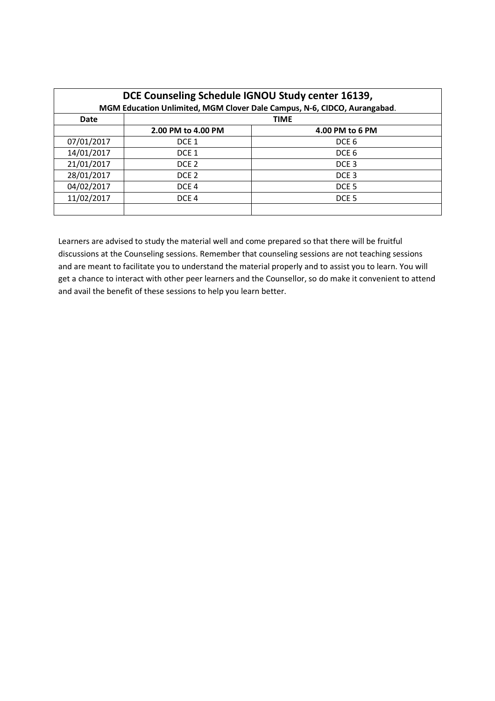| DCE Counseling Schedule IGNOU Study center 16139,<br>MGM Education Unlimited, MGM Clover Dale Campus, N-6, CIDCO, Aurangabad. |                    |                  |  |  |
|-------------------------------------------------------------------------------------------------------------------------------|--------------------|------------------|--|--|
| Date                                                                                                                          | <b>TIME</b>        |                  |  |  |
|                                                                                                                               | 2.00 PM to 4.00 PM | 4.00 PM to 6 PM  |  |  |
| 07/01/2017                                                                                                                    | DCE <sub>1</sub>   | DCE <sub>6</sub> |  |  |
| 14/01/2017                                                                                                                    | DCE <sub>1</sub>   | DCE <sub>6</sub> |  |  |
| 21/01/2017                                                                                                                    | DCE <sub>2</sub>   | DCE <sub>3</sub> |  |  |
| 28/01/2017                                                                                                                    | DCE <sub>2</sub>   | DCE <sub>3</sub> |  |  |
| 04/02/2017                                                                                                                    | DCE <sub>4</sub>   | DCE <sub>5</sub> |  |  |
| 11/02/2017                                                                                                                    | DCE <sub>4</sub>   | DCE <sub>5</sub> |  |  |
|                                                                                                                               |                    |                  |  |  |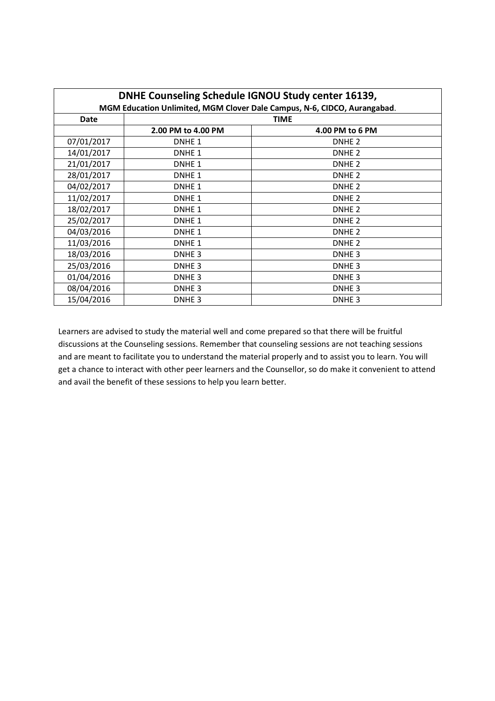| DNHE Counseling Schedule IGNOU Study center 16139,                       |                    |                   |  |  |
|--------------------------------------------------------------------------|--------------------|-------------------|--|--|
| MGM Education Unlimited, MGM Clover Dale Campus, N-6, CIDCO, Aurangabad. |                    |                   |  |  |
| Date                                                                     | <b>TIME</b>        |                   |  |  |
|                                                                          | 2.00 PM to 4.00 PM | 4.00 PM to 6 PM   |  |  |
| 07/01/2017                                                               | DNHE <sub>1</sub>  | DNHE <sub>2</sub> |  |  |
| 14/01/2017                                                               | DNHE <sub>1</sub>  | DNHE <sub>2</sub> |  |  |
| 21/01/2017                                                               | DNHE <sub>1</sub>  | DNHE <sub>2</sub> |  |  |
| 28/01/2017                                                               | DNHE <sub>1</sub>  | DNHE <sub>2</sub> |  |  |
| 04/02/2017                                                               | DNHE <sub>1</sub>  | DNHE <sub>2</sub> |  |  |
| 11/02/2017                                                               | DNHE <sub>1</sub>  | DNHE <sub>2</sub> |  |  |
| 18/02/2017                                                               | DNHE <sub>1</sub>  | DNHE <sub>2</sub> |  |  |
| 25/02/2017                                                               | DNHE <sub>1</sub>  | DNHE <sub>2</sub> |  |  |
| 04/03/2016                                                               | DNHE <sub>1</sub>  | DNHE <sub>2</sub> |  |  |
| 11/03/2016                                                               | DNHE <sub>1</sub>  | DNHE <sub>2</sub> |  |  |
| 18/03/2016                                                               | DNHE <sub>3</sub>  | DNHE <sub>3</sub> |  |  |
| 25/03/2016                                                               | DNHE <sub>3</sub>  | DNHE <sub>3</sub> |  |  |
| 01/04/2016                                                               | DNHE <sub>3</sub>  | DNHE <sub>3</sub> |  |  |
| 08/04/2016                                                               | DNHE <sub>3</sub>  | DNHE <sub>3</sub> |  |  |
| 15/04/2016                                                               | DNHE <sub>3</sub>  | DNHE <sub>3</sub> |  |  |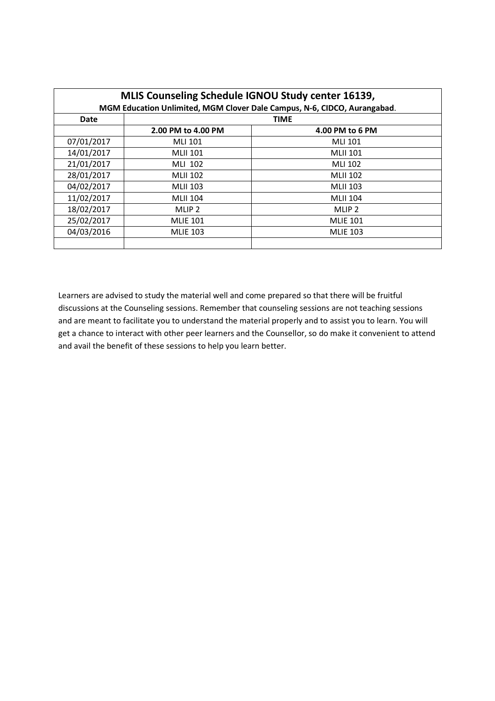| MLIS Counseling Schedule IGNOU Study center 16139,<br>MGM Education Unlimited, MGM Clover Dale Campus, N-6, CIDCO, Aurangabad. |                    |                   |  |  |
|--------------------------------------------------------------------------------------------------------------------------------|--------------------|-------------------|--|--|
| Date                                                                                                                           | <b>TIME</b>        |                   |  |  |
|                                                                                                                                | 2.00 PM to 4.00 PM | 4.00 PM to 6 PM   |  |  |
| 07/01/2017                                                                                                                     | <b>MLI 101</b>     | MLI 101           |  |  |
| 14/01/2017                                                                                                                     | <b>MLII 101</b>    | <b>MLII 101</b>   |  |  |
| 21/01/2017                                                                                                                     | MLI 102            | MLI 102           |  |  |
| 28/01/2017                                                                                                                     | <b>MLII 102</b>    | <b>MLII 102</b>   |  |  |
| 04/02/2017                                                                                                                     | <b>MLII 103</b>    | <b>MLII 103</b>   |  |  |
| 11/02/2017                                                                                                                     | <b>MLII 104</b>    | <b>MLII 104</b>   |  |  |
| 18/02/2017                                                                                                                     | MLIP <sub>2</sub>  | MLIP <sub>2</sub> |  |  |
| 25/02/2017                                                                                                                     | <b>MLIE 101</b>    | <b>MLIE 101</b>   |  |  |
| 04/03/2016                                                                                                                     | <b>MLIE 103</b>    | <b>MLIE 103</b>   |  |  |
|                                                                                                                                |                    |                   |  |  |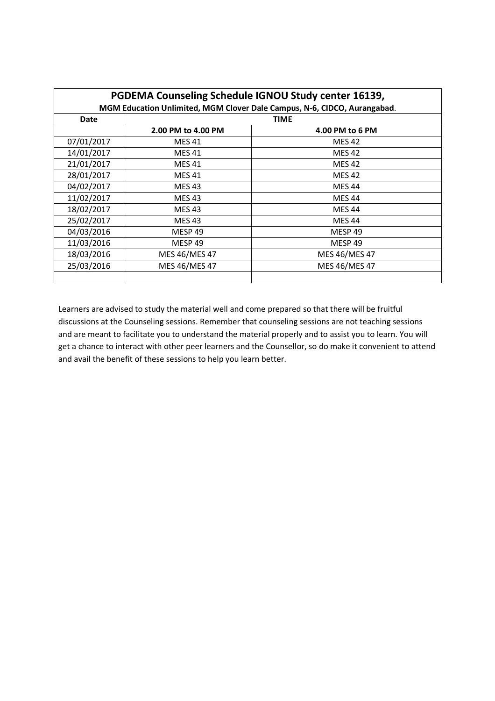| PGDEMA Counseling Schedule IGNOU Study center 16139,<br>MGM Education Unlimited, MGM Clover Dale Campus, N-6, CIDCO, Aurangabad. |                    |                    |  |
|----------------------------------------------------------------------------------------------------------------------------------|--------------------|--------------------|--|
| Date                                                                                                                             | <b>TIME</b>        |                    |  |
|                                                                                                                                  | 2.00 PM to 4.00 PM | 4.00 PM to 6 PM    |  |
| 07/01/2017                                                                                                                       | MES 41             | <b>MES 42</b>      |  |
| 14/01/2017                                                                                                                       | <b>MES 41</b>      | <b>MES 42</b>      |  |
| 21/01/2017                                                                                                                       | <b>MES 41</b>      | <b>MES 42</b>      |  |
| 28/01/2017                                                                                                                       | <b>MES 41</b>      | <b>MES 42</b>      |  |
| 04/02/2017                                                                                                                       | <b>MES 43</b>      | <b>MES 44</b>      |  |
| 11/02/2017                                                                                                                       | <b>MES 43</b>      | <b>MES 44</b>      |  |
| 18/02/2017                                                                                                                       | <b>MES 43</b>      | <b>MES 44</b>      |  |
| 25/02/2017                                                                                                                       | <b>MES 43</b>      | <b>MES 44</b>      |  |
| 04/03/2016                                                                                                                       | MESP <sub>49</sub> | MESP <sub>49</sub> |  |
| 11/03/2016                                                                                                                       | MESP <sub>49</sub> | MESP 49            |  |
| 18/03/2016                                                                                                                       | MES 46/MES 47      | MES 46/MES 47      |  |
| 25/03/2016                                                                                                                       | MES 46/MES 47      | MES 46/MES 47      |  |
|                                                                                                                                  |                    |                    |  |